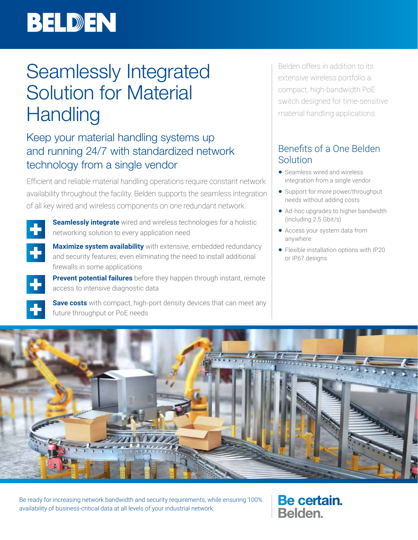# BELDEN

## Seamlessly Integrated Solution for Material **Handling**

### Keep your material handling systems up and running 24/7 with standardized network technology from a single vendor

Efficient and reliable material handling operations require constant network availability throughout the facility. Belden supports the seamless integration of all key wired and wireless components on one redundant network.



**Seamlessly integrate** wired and wireless technologies for a holistic networking solution to every application need



**Maximize system availability** with extensive, embedded redundancy and security features, even eliminating the need to install additional firewalls in some applications

**Prevent potential failures** before they happen through instant, remote access to intensive diagnostic data

**Save costs** with compact, high-port density devices that can meet any future throughput or PoE needs

Belden offers in addition to its extensive wireless portfolio a compact, high-bandwidth PoE switch designed for time-sensitive material handling applications.

### Benefits of a One Belden Solution

- Seamless wired and wireless integration from a single vendor
- Support for more power/throughput needs without adding costs
- Ad-hoc upgrades to higher bandwidth (including 2.5 Gbit/s)
- Access your system data from anywhere
- Flexible installation options with IP20 or IP67 designs



Be ready for increasing network bandwidth and security requirements, while ensuring 100% availability of business-critical data at all levels of your industrial network.

Be certain. **Belden**